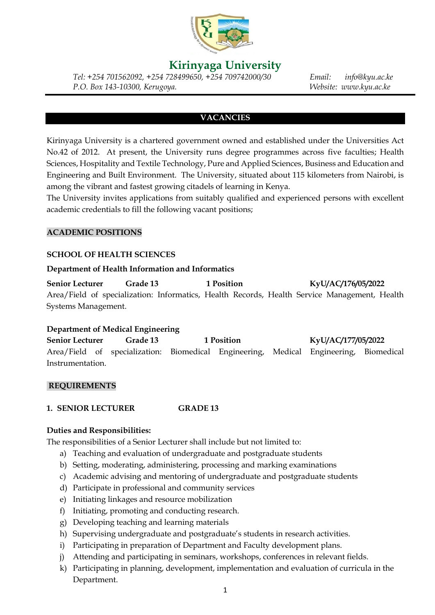

# **Kirinyaga University**

*Tel: +254 701562092, +254 728499650, +254 709742000/30 Email: info@kyu.ac.ke P.O. Box 143-10300, Kerugoya. Website: www.kyu.ac.ke*

## **VACANCIES**

Kirinyaga University is a chartered government owned and established under the Universities Act No.42 of 2012. At present, the University runs degree programmes across five faculties; Health Sciences, Hospitality and Textile Technology, Pure and Applied Sciences, Business and Education and Engineering and Built Environment. The University, situated about 115 kilometers from Nairobi, is among the vibrant and fastest growing citadels of learning in Kenya.

The University invites applications from suitably qualified and experienced persons with excellent academic credentials to fill the following vacant positions;

## **ACADEMIC POSITIONS**

### **SCHOOL OF HEALTH SCIENCES**

#### **Department of Health Information and Informatics**

**Senior Lecturer Grade 13 1 Position KyU/AC/176/05/2022** Area/Field of specialization: Informatics, Health Records, Health Service Management, Health Systems Management.

#### **Department of Medical Engineering**

**Senior Lecturer Grade 13 1 Position KyU/AC/177/05/2022** Area/Field of specialization: Biomedical Engineering, Medical Engineering, Biomedical Instrumentation.

#### **REQUIREMENTS**

**1. SENIOR LECTURER GRADE 13**

#### **Duties and Responsibilities:**

The responsibilities of a Senior Lecturer shall include but not limited to:

- a) Teaching and evaluation of undergraduate and postgraduate students
- b) Setting, moderating, administering, processing and marking examinations
- c) Academic advising and mentoring of undergraduate and postgraduate students
- d) Participate in professional and community services
- e) Initiating linkages and resource mobilization
- f) Initiating, promoting and conducting research.
- g) Developing teaching and learning materials
- h) Supervising undergraduate and postgraduate's students in research activities.
- i) Participating in preparation of Department and Faculty development plans.
- j) Attending and participating in seminars, workshops, conferences in relevant fields.
- k) Participating in planning, development, implementation and evaluation of curricula in the Department.